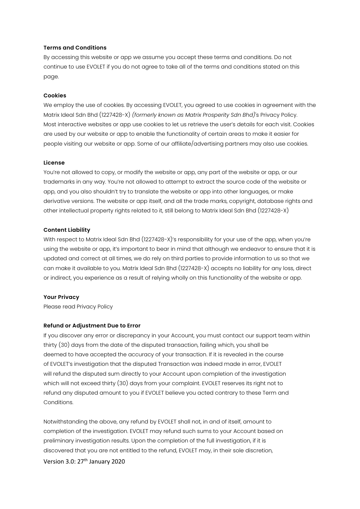### **Terms and Conditions**

By accessing this website or app we assume you accept these terms and conditions. Do not continue to use EVOLET if you do not agree to take all of the terms and conditions stated on this page.

### **Cookies**

We employ the use of cookies. By accessing EVOLET, you agreed to use cookies in agreement with the Matrix Ideal Sdn Bhd (1227428-X) *(formerly known as Matrix Prosperity Sdn Bhd)*'s Privacy Policy. Most interactive websites or app use cookies to let us retrieve the user's details for each visit. Cookies are used by our website or app to enable the functionality of certain areas to make it easier for people visiting our website or app. Some of our affiliate/advertising partners may also use cookies.

### **License**

You're not allowed to copy, or modify the website or app, any part of the website or app, or our trademarks in any way. You're not allowed to attempt to extract the source code of the website or app, and you also shouldn't try to translate the website or app into other languages, or make derivative versions. The website or app itself, and all the trade marks, copyright, database rights and other intellectual property rights related to it, still belong to Matrix Ideal Sdn Bhd (1227428-X)

## **Content Liability**

With respect to Matrix Ideal Sdn Bhd (1227428-X)'s responsibility for your use of the app, when you're using the website or app, it's important to bear in mind that although we endeavor to ensure that it is updated and correct at all times, we do rely on third parties to provide information to us so that we can make it available to you. Matrix Ideal Sdn Bhd (1227428-X) accepts no liability for any loss, direct or indirect, you experience as a result of relying wholly on this functionality of the website or app.

# **Your Privacy**

Please read Privacy Policy

# **Refund or Adjustment Due to Error**

If you discover any error or discrepancy in your Account, you must contact our support team within thirty (30) days from the date of the disputed transaction, failing which, you shall be deemed to have accepted the accuracy of your transaction. If it is revealed in the course of EVOLET's investigation that the disputed Transaction was indeed made in error, EVOLET will refund the disputed sum directly to your Account upon completion of the investigation which will not exceed thirty (30) days from your complaint. EVOLET reserves its right not to refund any disputed amount to you if EVOLET believe you acted contrary to these Term and Conditions.

Notwithstanding the above, any refund by EVOLET shall not, in and of itself, amount to completion of the investigation. EVOLET may refund such sums to your Account based on preliminary investigation results. Upon the completion of the full investigation, if it is discovered that you are not entitled to the refund, EVOLET may, in their sole discretion,

Version 3.0: 27<sup>th</sup> January 2020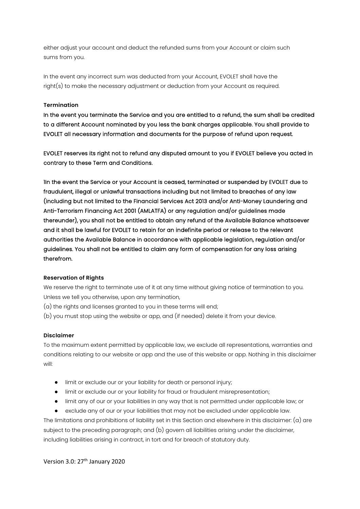either adjust your account and deduct the refunded sums from your Account or claim such sums from you.

In the event any incorrect sum was deducted from your Account, EVOLET shall have the right(s) to make the necessary adjustment or deduction from your Account as required.

## **Termination**

In the event you terminate the Service and you are entitled to a refund, the sum shall be credited to a different Account nominated by you less the bank charges applicable. You shall provide to EVOLET all necessary information and documents for the purpose of refund upon request.

EVOLET reserves its right not to refund any disputed amount to you if EVOLET believe you acted in contrary to these Term and Conditions.

1In the event the Service or your Account is ceased, terminated or suspended by EVOLET due to fraudulent, illegal or unlawful transactions including but not limited to breaches of any law (including but not limited to the Financial Services Act 2013 and/or Anti-Money Laundering and Anti-Terrorism Financing Act 2001 (AMLATFA) or any regulation and/or guidelines made thereunder), you shall not be entitled to obtain any refund of the Available Balance whatsoever and it shall be lawful for EVOLET to retain for an indefinite period or release to the relevant authorities the Available Balance in accordance with applicable legislation, regulation and/or guidelines. You shall not be entitled to claim any form of compensation for any loss arising therefrom.

### **Reservation of Rights**

We reserve the right to terminate use of it at any time without giving notice of termination to you. Unless we tell you otherwise, upon any termination,

- (a) the rights and licenses granted to you in these terms will end;
- (b) you must stop using the website or app, and (if needed) delete it from your device.

### **Disclaimer**

To the maximum extent permitted by applicable law, we exclude all representations, warranties and conditions relating to our website or app and the use of this website or app. Nothing in this disclaimer will:

- limit or exclude our or your liability for death or personal injury;
- limit or exclude our or your liability for fraud or fraudulent misrepresentation;
- limit any of our or your liabilities in any way that is not permitted under applicable law; or

● exclude any of our or your liabilities that may not be excluded under applicable law. The limitations and prohibitions of liability set in this Section and elsewhere in this disclaimer:  $(a)$  are subject to the preceding paragraph; and (b) govern all liabilities arising under the disclaimer, including liabilities arising in contract, in tort and for breach of statutory duty.

Version 3.0: 27<sup>th</sup> January 2020